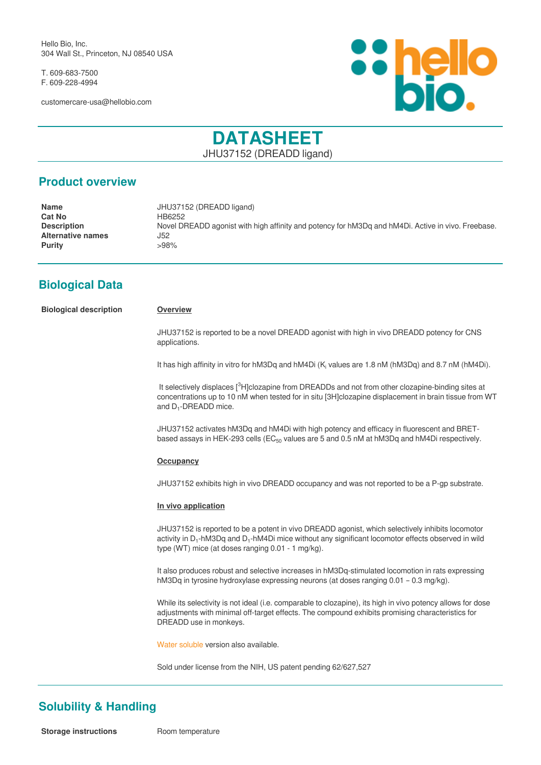Hello Bio, Inc. 304 Wall St., Princeton, NJ 08540 USA

T. 609-683-7500 F. 609-228-4994

customercare-usa@hellobio.com



# **DATASHEET** JHU37152 (DREADD ligand)

### **Product overview**

| <b>Name</b>        | JHU37152 (DREADD ligand)                                                                           |
|--------------------|----------------------------------------------------------------------------------------------------|
| <b>Cat No</b>      | HB6252                                                                                             |
| <b>Description</b> | Novel DREADD agonist with high affinity and potency for hM3Dg and hM4Di. Active in vivo. Freebase. |
| Alternative names  | J52                                                                                                |
| Purity             | >98%                                                                                               |
|                    |                                                                                                    |

## **Biological Data**

**Biological description Overview**

JHU37152 is reported to be a novel DREADD agonist with high in vivo DREADD potency for CNS applications.

It has high affinity in vitro for hM3Dq and hM4Di ( $K_i$  values are 1.8 nM (hM3Dq) and 8.7 nM (hM4Di).

It selectively displaces [<sup>3</sup>H]clozapine from DREADDs and not from other clozapine-binding sites at concentrations up to 10 nM when tested for in situ [3H]clozapine displacement in brain tissue from WT and D<sub>1</sub>-DREADD mice.

JHU37152 activates hM3Dq and hM4Di with high potency and efficacy in fluorescent and BRETbased assays in HEK-293 cells ( $EC_{50}$  values are 5 and 0.5 nM at hM3Dq and hM4Di respectively.

#### **Occupancy**

JHU37152 exhibits high in vivo DREADD occupancy and was not reported to be a P-gp substrate.

#### **In vivo application**

JHU37152 is reported to be a potent in vivo DREADD agonist, which selectively inhibits locomotor activity in D<sub>1</sub>-hM3Dq and D<sub>1</sub>-hM4Di mice without any significant locomotor effects observed in wild type (WT) mice (at doses ranging 0.01 - 1 mg/kg).

It also produces robust and selective increases in hM3Dq-stimulated locomotion in rats expressing hM3Dq in tyrosine hydroxylase expressing neurons (at doses ranging 0.01 – 0.3 mg/kg).

While its selectivity is not ideal (i.e. comparable to clozapine), its high in vivo potency allows for dose adjustments with minimal off-target effects. The compound exhibits promising characteristics for DREADD use in monkeys.

[Water soluble v](JHU37152-dihydrochloride.html)ersion also available.

Sold under license from the NIH, US patent pending 62/627,527

## **Solubility & Handling**